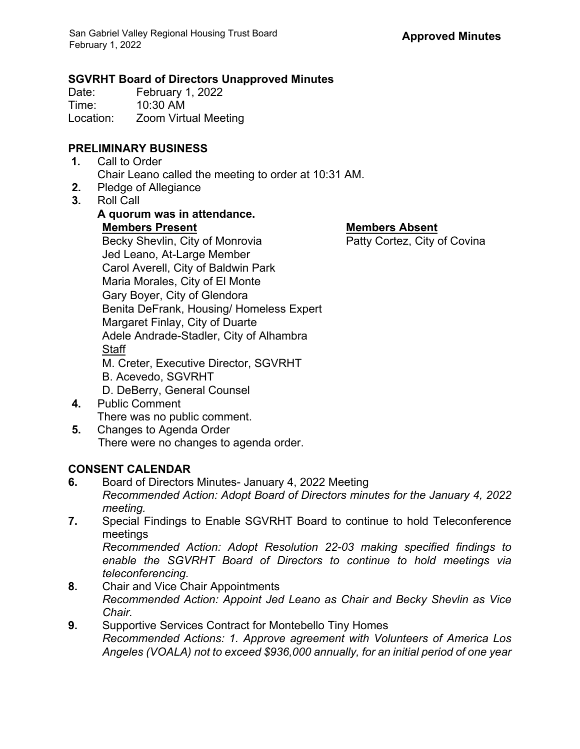### **SGVRHT Board of Directors Unapproved Minutes**

Date: February 1, 2022<br>Time: 10:30 AM  $10:30$  AM Location: Zoom Virtual Meeting

## **PRELIMINARY BUSINESS**

- **1.** Call to Order Chair Leano called the meeting to order at 10:31 AM.
- **2.** Pledge of Allegiance
- **3.** Roll Call

# **A quorum was in attendance.**

**Members Present Members Absent** Becky Shevlin, City of Monrovia **Patty Cortez**, City of Covina Jed Leano, At-Large Member Carol Averell, City of Baldwin Park Maria Morales, City of El Monte Gary Boyer, City of Glendora Benita DeFrank, Housing/ Homeless Expert Margaret Finlay, City of Duarte Adele Andrade-Stadler, City of Alhambra **Staff** M. Creter, Executive Director, SGVRHT B. Acevedo, SGVRHT D. DeBerry, General Counsel **4.** Public Comment

- There was no public comment.
- **5.** Changes to Agenda Order There were no changes to agenda order.

## **CONSENT CALENDAR**

- **6.** Board of Directors Minutes- January 4, 2022 Meeting *Recommended Action: Adopt Board of Directors minutes for the January 4, 2022 meeting.*
- **7.** Special Findings to Enable SGVRHT Board to continue to hold Teleconference meetings

*Recommended Action: Adopt Resolution 22-03 making specified findings to enable the SGVRHT Board of Directors to continue to hold meetings via teleconferencing.*

- **8.** Chair and Vice Chair Appointments *Recommended Action: Appoint Jed Leano as Chair and Becky Shevlin as Vice Chair.*
- **9.** Supportive Services Contract for Montebello Tiny Homes *Recommended Actions: 1. Approve agreement with Volunteers of America Los Angeles (VOALA) not to exceed \$936,000 annually, for an initial period of one year*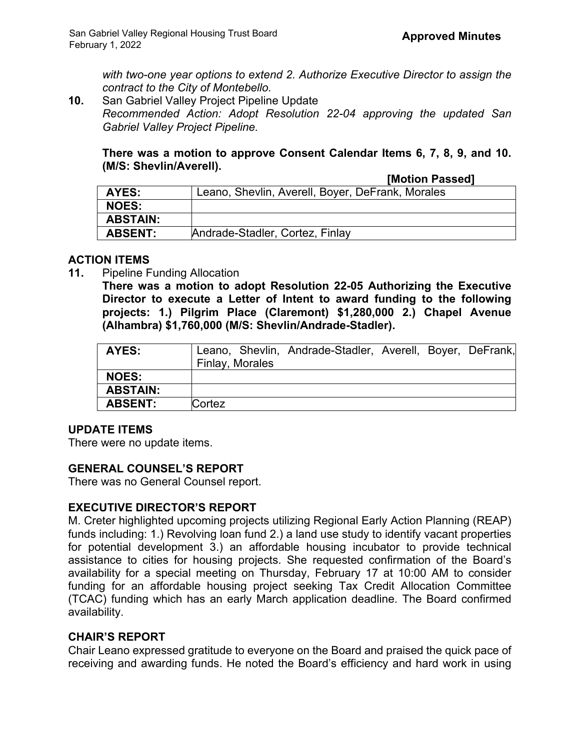*with two-one year options to extend 2. Authorize Executive Director to assign the contract to the City of Montebello.*

**10.** San Gabriel Valley Project Pipeline Update *Recommended Action: Adopt Resolution 22-04 approving the updated San Gabriel Valley Project Pipeline.*

**There was a motion to approve Consent Calendar Items 6, 7, 8, 9, and 10. (M/S: Shevlin/Averell).**

| AYES:           | Leano, Shevlin, Averell, Boyer, DeFrank, Morales |
|-----------------|--------------------------------------------------|
| <b>NOES:</b>    |                                                  |
| <b>ABSTAIN:</b> |                                                  |
| <b>ABSENT:</b>  | Andrade-Stadler, Cortez, Finlay                  |
|                 |                                                  |

#### **ACTION ITEMS**

**11.** Pipeline Funding Allocation

**There was a motion to adopt Resolution 22-05 Authorizing the Executive Director to execute a Letter of Intent to award funding to the following projects: 1.) Pilgrim Place (Claremont) \$1,280,000 2.) Chapel Avenue (Alhambra) \$1,760,000 (M/S: Shevlin/Andrade-Stadler).**

| AYES:           | Leano, Shevlin, Andrade-Stadler, Averell, Boyer, DeFrank,<br>Finlay, Morales |
|-----------------|------------------------------------------------------------------------------|
| <b>NOES:</b>    |                                                                              |
| <b>ABSTAIN:</b> |                                                                              |
| <b>ABSENT:</b>  | Cortez                                                                       |

## **UPDATE ITEMS**

There were no update items.

## **GENERAL COUNSEL'S REPORT**

There was no General Counsel report.

#### **EXECUTIVE DIRECTOR'S REPORT**

M. Creter highlighted upcoming projects utilizing Regional Early Action Planning (REAP) funds including: 1.) Revolving loan fund 2.) a land use study to identify vacant properties for potential development 3.) an affordable housing incubator to provide technical assistance to cities for housing projects. She requested confirmation of the Board's availability for a special meeting on Thursday, February 17 at 10:00 AM to consider funding for an affordable housing project seeking Tax Credit Allocation Committee (TCAC) funding which has an early March application deadline. The Board confirmed availability.

#### **CHAIR'S REPORT**

Chair Leano expressed gratitude to everyone on the Board and praised the quick pace of receiving and awarding funds. He noted the Board's efficiency and hard work in using